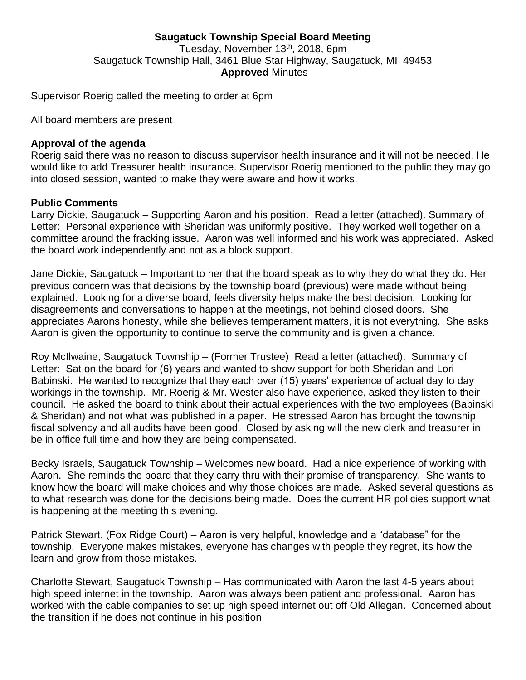### **Saugatuck Township Special Board Meeting** Tuesday, November 13<sup>th</sup>, 2018, 6pm Saugatuck Township Hall, 3461 Blue Star Highway, Saugatuck, MI 49453 **Approved** Minutes

Supervisor Roerig called the meeting to order at 6pm

All board members are present

#### **Approval of the agenda**

Roerig said there was no reason to discuss supervisor health insurance and it will not be needed. He would like to add Treasurer health insurance. Supervisor Roerig mentioned to the public they may go into closed session, wanted to make they were aware and how it works.

#### **Public Comments**

Larry Dickie, Saugatuck – Supporting Aaron and his position. Read a letter (attached). Summary of Letter: Personal experience with Sheridan was uniformly positive. They worked well together on a committee around the fracking issue. Aaron was well informed and his work was appreciated. Asked the board work independently and not as a block support.

Jane Dickie, Saugatuck – Important to her that the board speak as to why they do what they do. Her previous concern was that decisions by the township board (previous) were made without being explained. Looking for a diverse board, feels diversity helps make the best decision. Looking for disagreements and conversations to happen at the meetings, not behind closed doors. She appreciates Aarons honesty, while she believes temperament matters, it is not everything. She asks Aaron is given the opportunity to continue to serve the community and is given a chance.

Roy McIlwaine, Saugatuck Township – (Former Trustee) Read a letter (attached). Summary of Letter: Sat on the board for (6) years and wanted to show support for both Sheridan and Lori Babinski. He wanted to recognize that they each over (15) years' experience of actual day to day workings in the township. Mr. Roerig & Mr. Wester also have experience, asked they listen to their council. He asked the board to think about their actual experiences with the two employees (Babinski & Sheridan) and not what was published in a paper. He stressed Aaron has brought the township fiscal solvency and all audits have been good. Closed by asking will the new clerk and treasurer in be in office full time and how they are being compensated.

Becky Israels, Saugatuck Township – Welcomes new board. Had a nice experience of working with Aaron. She reminds the board that they carry thru with their promise of transparency. She wants to know how the board will make choices and why those choices are made. Asked several questions as to what research was done for the decisions being made. Does the current HR policies support what is happening at the meeting this evening.

Patrick Stewart, (Fox Ridge Court) – Aaron is very helpful, knowledge and a "database" for the township. Everyone makes mistakes, everyone has changes with people they regret, its how the learn and grow from those mistakes.

Charlotte Stewart, Saugatuck Township – Has communicated with Aaron the last 4-5 years about high speed internet in the township. Aaron was always been patient and professional. Aaron has worked with the cable companies to set up high speed internet out off Old Allegan. Concerned about the transition if he does not continue in his position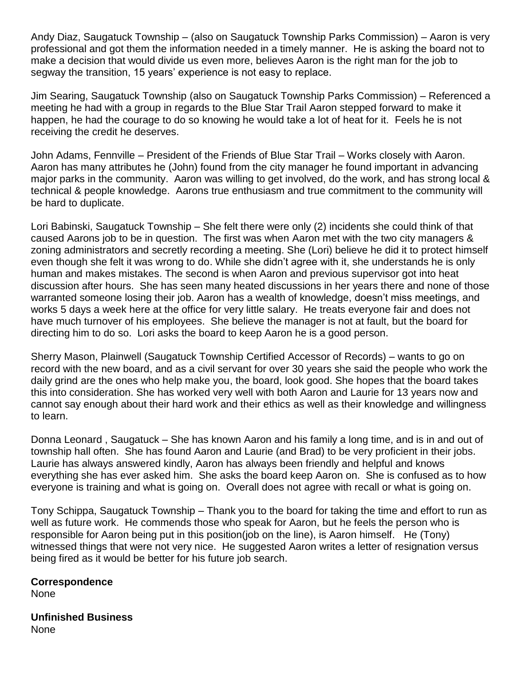Andy Diaz, Saugatuck Township – (also on Saugatuck Township Parks Commission) – Aaron is very professional and got them the information needed in a timely manner. He is asking the board not to make a decision that would divide us even more, believes Aaron is the right man for the job to segway the transition, 15 years' experience is not easy to replace.

Jim Searing, Saugatuck Township (also on Saugatuck Township Parks Commission) – Referenced a meeting he had with a group in regards to the Blue Star Trail Aaron stepped forward to make it happen, he had the courage to do so knowing he would take a lot of heat for it. Feels he is not receiving the credit he deserves.

John Adams, Fennville – President of the Friends of Blue Star Trail – Works closely with Aaron. Aaron has many attributes he (John) found from the city manager he found important in advancing major parks in the community. Aaron was willing to get involved, do the work, and has strong local & technical & people knowledge. Aarons true enthusiasm and true commitment to the community will be hard to duplicate.

Lori Babinski, Saugatuck Township – She felt there were only (2) incidents she could think of that caused Aarons job to be in question. The first was when Aaron met with the two city managers & zoning administrators and secretly recording a meeting. She (Lori) believe he did it to protect himself even though she felt it was wrong to do. While she didn't agree with it, she understands he is only human and makes mistakes. The second is when Aaron and previous supervisor got into heat discussion after hours. She has seen many heated discussions in her years there and none of those warranted someone losing their job. Aaron has a wealth of knowledge, doesn't miss meetings, and works 5 days a week here at the office for very little salary. He treats everyone fair and does not have much turnover of his employees. She believe the manager is not at fault, but the board for directing him to do so. Lori asks the board to keep Aaron he is a good person.

Sherry Mason, Plainwell (Saugatuck Township Certified Accessor of Records) – wants to go on record with the new board, and as a civil servant for over 30 years she said the people who work the daily grind are the ones who help make you, the board, look good. She hopes that the board takes this into consideration. She has worked very well with both Aaron and Laurie for 13 years now and cannot say enough about their hard work and their ethics as well as their knowledge and willingness to learn.

Donna Leonard , Saugatuck – She has known Aaron and his family a long time, and is in and out of township hall often. She has found Aaron and Laurie (and Brad) to be very proficient in their jobs. Laurie has always answered kindly, Aaron has always been friendly and helpful and knows everything she has ever asked him. She asks the board keep Aaron on. She is confused as to how everyone is training and what is going on. Overall does not agree with recall or what is going on.

Tony Schippa, Saugatuck Township – Thank you to the board for taking the time and effort to run as well as future work. He commends those who speak for Aaron, but he feels the person who is responsible for Aaron being put in this position(job on the line), is Aaron himself. He (Tony) witnessed things that were not very nice. He suggested Aaron writes a letter of resignation versus being fired as it would be better for his future job search.

**Correspondence** None

**Unfinished Business** None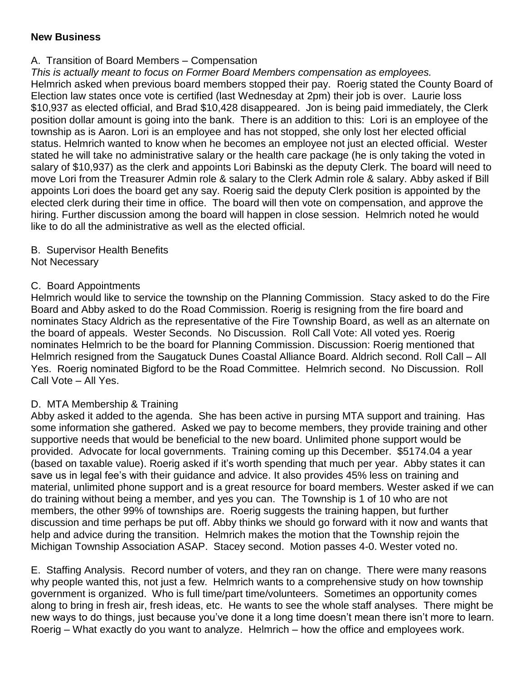### **New Business**

## A. Transition of Board Members – Compensation

*This is actually meant to focus on Former Board Members compensation as employees.*

Helmrich asked when previous board members stopped their pay. Roerig stated the County Board of Election law states once vote is certified (last Wednesday at 2pm) their job is over. Laurie loss \$10,937 as elected official, and Brad \$10,428 disappeared. Jon is being paid immediately, the Clerk position dollar amount is going into the bank. There is an addition to this: Lori is an employee of the township as is Aaron. Lori is an employee and has not stopped, she only lost her elected official status. Helmrich wanted to know when he becomes an employee not just an elected official. Wester stated he will take no administrative salary or the health care package (he is only taking the voted in salary of \$10,937) as the clerk and appoints Lori Babinski as the deputy Clerk. The board will need to move Lori from the Treasurer Admin role & salary to the Clerk Admin role & salary. Abby asked if Bill appoints Lori does the board get any say. Roerig said the deputy Clerk position is appointed by the elected clerk during their time in office. The board will then vote on compensation, and approve the hiring. Further discussion among the board will happen in close session. Helmrich noted he would like to do all the administrative as well as the elected official.

# B. Supervisor Health Benefits

Not Necessary

# C. Board Appointments

Helmrich would like to service the township on the Planning Commission. Stacy asked to do the Fire Board and Abby asked to do the Road Commission. Roerig is resigning from the fire board and nominates Stacy Aldrich as the representative of the Fire Township Board, as well as an alternate on the board of appeals. Wester Seconds. No Discussion. Roll Call Vote: All voted yes. Roerig nominates Helmrich to be the board for Planning Commission. Discussion: Roerig mentioned that Helmrich resigned from the Saugatuck Dunes Coastal Alliance Board. Aldrich second. Roll Call – All Yes. Roerig nominated Bigford to be the Road Committee. Helmrich second. No Discussion. Roll Call Vote – All Yes.

### D. MTA Membership & Training

Abby asked it added to the agenda. She has been active in pursing MTA support and training. Has some information she gathered. Asked we pay to become members, they provide training and other supportive needs that would be beneficial to the new board. Unlimited phone support would be provided. Advocate for local governments. Training coming up this December. \$5174.04 a year (based on taxable value). Roerig asked if it's worth spending that much per year. Abby states it can save us in legal fee's with their guidance and advice. It also provides 45% less on training and material, unlimited phone support and is a great resource for board members. Wester asked if we can do training without being a member, and yes you can. The Township is 1 of 10 who are not members, the other 99% of townships are. Roerig suggests the training happen, but further discussion and time perhaps be put off. Abby thinks we should go forward with it now and wants that help and advice during the transition. Helmrich makes the motion that the Township rejoin the Michigan Township Association ASAP. Stacey second. Motion passes 4-0. Wester voted no.

E. Staffing Analysis. Record number of voters, and they ran on change. There were many reasons why people wanted this, not just a few. Helmrich wants to a comprehensive study on how township government is organized. Who is full time/part time/volunteers. Sometimes an opportunity comes along to bring in fresh air, fresh ideas, etc. He wants to see the whole staff analyses. There might be new ways to do things, just because you've done it a long time doesn't mean there isn't more to learn. Roerig – What exactly do you want to analyze. Helmrich – how the office and employees work.